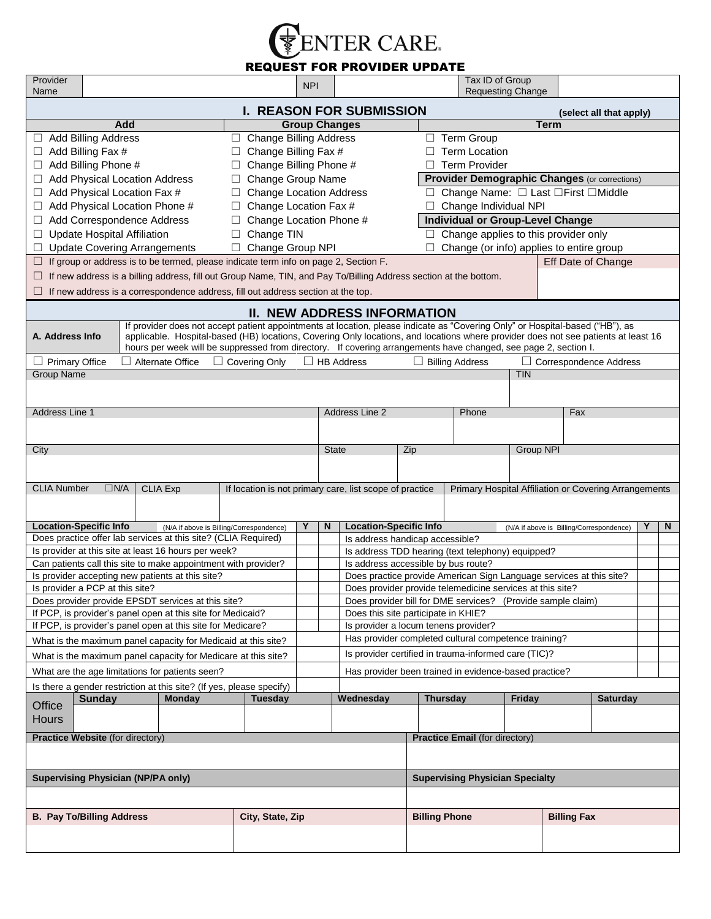

## REQUEST FOR PROVIDER UPDATE

| Provider<br>Name                                                                                                                                                                                                                                                                                                                                                                                          |                                                 |                                                                                       |                  | <b>NPI</b>        |                                                                                              |                                                                                      | Tax ID of Group<br><b>Requesting Change</b> |           |                    |                                     |   |   |  |  |  |
|-----------------------------------------------------------------------------------------------------------------------------------------------------------------------------------------------------------------------------------------------------------------------------------------------------------------------------------------------------------------------------------------------------------|-------------------------------------------------|---------------------------------------------------------------------------------------|------------------|-------------------|----------------------------------------------------------------------------------------------|--------------------------------------------------------------------------------------|---------------------------------------------|-----------|--------------------|-------------------------------------|---|---|--|--|--|
|                                                                                                                                                                                                                                                                                                                                                                                                           |                                                 |                                                                                       |                  |                   |                                                                                              |                                                                                      |                                             |           |                    |                                     |   |   |  |  |  |
| <b>I. REASON FOR SUBMISSION</b><br>(select all that apply)<br>Add<br><b>Group Changes</b><br><b>Term</b>                                                                                                                                                                                                                                                                                                  |                                                 |                                                                                       |                  |                   |                                                                                              |                                                                                      |                                             |           |                    |                                     |   |   |  |  |  |
| Add Billing Address<br>□ Term Group<br>$\Box$ Change Billing Address<br>$\Box$                                                                                                                                                                                                                                                                                                                            |                                                 |                                                                                       |                  |                   |                                                                                              |                                                                                      |                                             |           |                    |                                     |   |   |  |  |  |
| Add Billing Fax #<br>Change Billing Fax #<br>$\Box$                                                                                                                                                                                                                                                                                                                                                       |                                                 |                                                                                       |                  |                   |                                                                                              | <b>Term Location</b>                                                                 |                                             |           |                    |                                     |   |   |  |  |  |
| Add Billing Phone #<br>Change Billing Phone #                                                                                                                                                                                                                                                                                                                                                             |                                                 |                                                                                       |                  |                   |                                                                                              | <b>Term Provider</b><br>П.                                                           |                                             |           |                    |                                     |   |   |  |  |  |
| Add Physical Location Address<br>Change Group Name                                                                                                                                                                                                                                                                                                                                                        |                                                 |                                                                                       |                  |                   |                                                                                              | <b>Provider Demographic Changes (or corrections)</b>                                 |                                             |           |                    |                                     |   |   |  |  |  |
| Add Physical Location Fax #<br><b>Change Location Address</b><br>$\Box$                                                                                                                                                                                                                                                                                                                                   |                                                 |                                                                                       |                  |                   |                                                                                              | Change Name: □ Last □ First □ Middle<br>□ .                                          |                                             |           |                    |                                     |   |   |  |  |  |
| Add Physical Location Phone #<br>Change Location Fax #<br>$\Box$                                                                                                                                                                                                                                                                                                                                          |                                                 |                                                                                       |                  |                   |                                                                                              | $\Box$ Change Individual NPI                                                         |                                             |           |                    |                                     |   |   |  |  |  |
| Add Correspondence Address<br>Change Location Phone #<br>Change TIN                                                                                                                                                                                                                                                                                                                                       |                                                 |                                                                                       |                  |                   |                                                                                              | <b>Individual or Group-Level Change</b>                                              |                                             |           |                    |                                     |   |   |  |  |  |
|                                                                                                                                                                                                                                                                                                                                                                                                           | <b>Update Hospital Affiliation</b>              | $\Box$                                                                                |                  |                   | □                                                                                            | Change applies to this provider only                                                 |                                             |           |                    |                                     |   |   |  |  |  |
|                                                                                                                                                                                                                                                                                                                                                                                                           | <b>Update Covering Arrangements</b>             | □                                                                                     | Change Group NPI |                   | Change (or info) applies to entire group<br>Eff Date of Change                               |                                                                                      |                                             |           |                    |                                     |   |   |  |  |  |
| If group or address is to be termed, please indicate term info on page 2, Section F.<br>⊔<br>If new address is a billing address, fill out Group Name, TIN, and Pay To/Billing Address section at the bottom.                                                                                                                                                                                             |                                                 |                                                                                       |                  |                   |                                                                                              |                                                                                      |                                             |           |                    |                                     |   |   |  |  |  |
|                                                                                                                                                                                                                                                                                                                                                                                                           |                                                 |                                                                                       |                  |                   |                                                                                              |                                                                                      |                                             |           |                    |                                     |   |   |  |  |  |
| If new address is a correspondence address, fill out address section at the top.                                                                                                                                                                                                                                                                                                                          |                                                 |                                                                                       |                  |                   |                                                                                              |                                                                                      |                                             |           |                    |                                     |   |   |  |  |  |
| <b>II. NEW ADDRESS INFORMATION</b>                                                                                                                                                                                                                                                                                                                                                                        |                                                 |                                                                                       |                  |                   |                                                                                              |                                                                                      |                                             |           |                    |                                     |   |   |  |  |  |
| If provider does not accept patient appointments at location, please indicate as "Covering Only" or Hospital-based ("HB"), as<br>applicable. Hospital-based (HB) locations, Covering Only locations, and locations where provider does not see patients at least 16<br>A. Address Info<br>hours per week will be suppressed from directory. If covering arrangements have changed, see page 2, section I. |                                                 |                                                                                       |                  |                   |                                                                                              |                                                                                      |                                             |           |                    |                                     |   |   |  |  |  |
| $\Box$ Primary Office                                                                                                                                                                                                                                                                                                                                                                                     |                                                 | $\Box$ Alternate Office<br>$\Box$ Covering Only                                       |                  | $\Box$ HB Address | $\Box$ Correspondence Address                                                                |                                                                                      |                                             |           |                    |                                     |   |   |  |  |  |
| <b>Group Name</b>                                                                                                                                                                                                                                                                                                                                                                                         |                                                 |                                                                                       |                  |                   |                                                                                              | $\Box$ Billing Address                                                               |                                             |           | <b>TIN</b>         |                                     |   |   |  |  |  |
|                                                                                                                                                                                                                                                                                                                                                                                                           |                                                 |                                                                                       |                  |                   |                                                                                              |                                                                                      |                                             |           |                    |                                     |   |   |  |  |  |
| Address Line 1                                                                                                                                                                                                                                                                                                                                                                                            |                                                 |                                                                                       |                  |                   | Address Line 2                                                                               |                                                                                      | Phone                                       |           | Fax                |                                     |   |   |  |  |  |
|                                                                                                                                                                                                                                                                                                                                                                                                           |                                                 |                                                                                       |                  |                   |                                                                                              |                                                                                      |                                             |           |                    |                                     |   |   |  |  |  |
|                                                                                                                                                                                                                                                                                                                                                                                                           |                                                 |                                                                                       |                  |                   |                                                                                              |                                                                                      |                                             |           |                    |                                     |   |   |  |  |  |
| City                                                                                                                                                                                                                                                                                                                                                                                                      |                                                 |                                                                                       |                  |                   | <b>State</b>                                                                                 | Zip                                                                                  |                                             | Group NPI |                    |                                     |   |   |  |  |  |
|                                                                                                                                                                                                                                                                                                                                                                                                           |                                                 |                                                                                       |                  |                   |                                                                                              |                                                                                      |                                             |           |                    |                                     |   |   |  |  |  |
| <b>CLIA Number</b><br>$\Box N/A$<br><b>CLIA Exp</b><br>Primary Hospital Affiliation or Covering Arrangements<br>If location is not primary care, list scope of practice                                                                                                                                                                                                                                   |                                                 |                                                                                       |                  |                   |                                                                                              |                                                                                      |                                             |           |                    |                                     |   |   |  |  |  |
|                                                                                                                                                                                                                                                                                                                                                                                                           |                                                 |                                                                                       |                  |                   |                                                                                              |                                                                                      |                                             |           |                    |                                     |   |   |  |  |  |
|                                                                                                                                                                                                                                                                                                                                                                                                           |                                                 |                                                                                       |                  |                   |                                                                                              |                                                                                      |                                             |           |                    |                                     |   |   |  |  |  |
| <b>Location-Specific Info</b>                                                                                                                                                                                                                                                                                                                                                                             |                                                 | (N/A if above is Billing/Correspondence)                                              |                  | Υ                 | N                                                                                            | <b>Location-Specific Info</b><br>(N/A if above is Billing/Correspondence)            |                                             |           |                    |                                     | Υ | N |  |  |  |
|                                                                                                                                                                                                                                                                                                                                                                                                           |                                                 | Does practice offer lab services at this site? (CLIA Required)                        |                  |                   |                                                                                              | Is address handicap accessible?<br>Is address TDD hearing (text telephony) equipped? |                                             |           |                    |                                     |   |   |  |  |  |
| Is provider at this site at least 16 hours per week?<br>Can patients call this site to make appointment with provider?                                                                                                                                                                                                                                                                                    |                                                 |                                                                                       |                  |                   |                                                                                              |                                                                                      |                                             |           |                    | Is address accessible by bus route? |   |   |  |  |  |
| Is provider accepting new patients at this site?                                                                                                                                                                                                                                                                                                                                                          |                                                 |                                                                                       |                  |                   |                                                                                              |                                                                                      |                                             |           |                    |                                     |   |   |  |  |  |
| Is provider a PCP at this site?                                                                                                                                                                                                                                                                                                                                                                           |                                                 |                                                                                       |                  |                   | Does practice provide American Sign Language services at this site?                          |                                                                                      |                                             |           |                    |                                     |   |   |  |  |  |
|                                                                                                                                                                                                                                                                                                                                                                                                           |                                                 |                                                                                       |                  |                   | Does provider provide telemedicine services at this site?                                    |                                                                                      |                                             |           |                    |                                     |   |   |  |  |  |
|                                                                                                                                                                                                                                                                                                                                                                                                           |                                                 | Does provider provide EPSDT services at this site?                                    |                  |                   | Does provider bill for DME services? (Provide sample claim)                                  |                                                                                      |                                             |           |                    |                                     |   |   |  |  |  |
|                                                                                                                                                                                                                                                                                                                                                                                                           |                                                 | If PCP, is provider's panel open at this site for Medicaid?                           |                  |                   | Does this site participate in KHIE?                                                          |                                                                                      |                                             |           |                    |                                     |   |   |  |  |  |
|                                                                                                                                                                                                                                                                                                                                                                                                           |                                                 | If PCP, is provider's panel open at this site for Medicare?                           |                  |                   | Is provider a locum tenens provider?<br>Has provider completed cultural competence training? |                                                                                      |                                             |           |                    |                                     |   |   |  |  |  |
|                                                                                                                                                                                                                                                                                                                                                                                                           |                                                 | What is the maximum panel capacity for Medicaid at this site?                         |                  |                   | Is provider certified in trauma-informed care (TIC)?                                         |                                                                                      |                                             |           |                    |                                     |   |   |  |  |  |
|                                                                                                                                                                                                                                                                                                                                                                                                           |                                                 | What is the maximum panel capacity for Medicare at this site?                         |                  |                   |                                                                                              |                                                                                      |                                             |           |                    |                                     |   |   |  |  |  |
|                                                                                                                                                                                                                                                                                                                                                                                                           | What are the age limitations for patients seen? |                                                                                       |                  |                   | Has provider been trained in evidence-based practice?                                        |                                                                                      |                                             |           |                    |                                     |   |   |  |  |  |
|                                                                                                                                                                                                                                                                                                                                                                                                           | <b>Sunday</b>                                   | Is there a gender restriction at this site? (If yes, please specify)<br><b>Monday</b> | <b>Tuesday</b>   |                   | Wednesday                                                                                    | <b>Thursday</b>                                                                      |                                             | Friday    |                    | <b>Saturday</b>                     |   |   |  |  |  |
| Office                                                                                                                                                                                                                                                                                                                                                                                                    |                                                 |                                                                                       |                  |                   |                                                                                              |                                                                                      |                                             |           |                    |                                     |   |   |  |  |  |
| <b>Hours</b>                                                                                                                                                                                                                                                                                                                                                                                              |                                                 |                                                                                       |                  |                   |                                                                                              |                                                                                      |                                             |           |                    |                                     |   |   |  |  |  |
|                                                                                                                                                                                                                                                                                                                                                                                                           | Practice Website (for directory)                |                                                                                       |                  |                   |                                                                                              |                                                                                      | <b>Practice Email (for directory)</b>       |           |                    |                                     |   |   |  |  |  |
|                                                                                                                                                                                                                                                                                                                                                                                                           |                                                 |                                                                                       |                  |                   |                                                                                              |                                                                                      |                                             |           |                    |                                     |   |   |  |  |  |
|                                                                                                                                                                                                                                                                                                                                                                                                           | <b>Supervising Physician (NP/PA only)</b>       |                                                                                       |                  |                   |                                                                                              |                                                                                      | <b>Supervising Physician Specialty</b>      |           |                    |                                     |   |   |  |  |  |
|                                                                                                                                                                                                                                                                                                                                                                                                           |                                                 |                                                                                       |                  |                   |                                                                                              |                                                                                      |                                             |           |                    |                                     |   |   |  |  |  |
|                                                                                                                                                                                                                                                                                                                                                                                                           | <b>B. Pay To/Billing Address</b>                |                                                                                       | City, State, Zip |                   |                                                                                              | <b>Billing Phone</b>                                                                 |                                             |           | <b>Billing Fax</b> |                                     |   |   |  |  |  |
|                                                                                                                                                                                                                                                                                                                                                                                                           |                                                 |                                                                                       |                  |                   |                                                                                              |                                                                                      |                                             |           |                    |                                     |   |   |  |  |  |